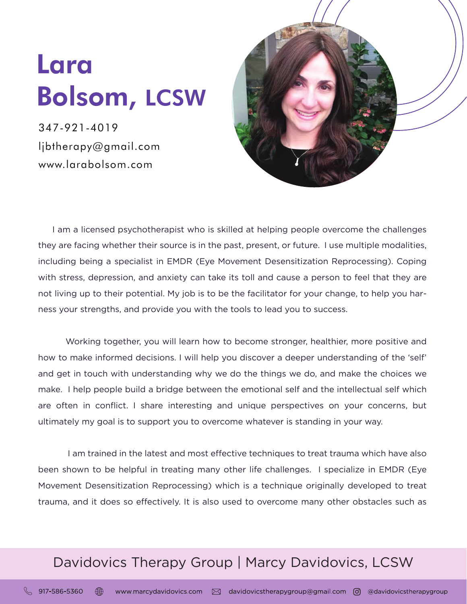## Lara Bolsom, LCSW

347-921-4019 ljbtherapy@gmail.com www.larabolsom.com



 I am a licensed psychotherapist who is skilled at helping people overcome the challenges they are facing whether their source is in the past, present, or future. I use multiple modalities, including being a specialist in EMDR (Eye Movement Desensitization Reprocessing). Coping with stress, depression, and anxiety can take its toll and cause a person to feel that they are not living up to their potential. My job is to be the facilitator for your change, to help you harness your strengths, and provide you with the tools to lead you to success.

 Working together, you will learn how to become stronger, healthier, more positive and how to make informed decisions. I will help you discover a deeper understanding of the 'self' and get in touch with understanding why we do the things we do, and make the choices we make. I help people build a bridge between the emotional self and the intellectual self which are often in conflict. I share interesting and unique perspectives on your concerns, but ultimately my goal is to support you to overcome whatever is standing in your way.

 I am trained in the latest and most effective techniques to treat trauma which have also been shown to be helpful in treating many other life challenges. I specialize in EMDR (Eye Movement Desensitization Reprocessing) which is a technique originally developed to treat trauma, and it does so effectively. It is also used to overcome many other obstacles such as

## Davidovics Therapy Group | Marcy Davidovics, LCSW